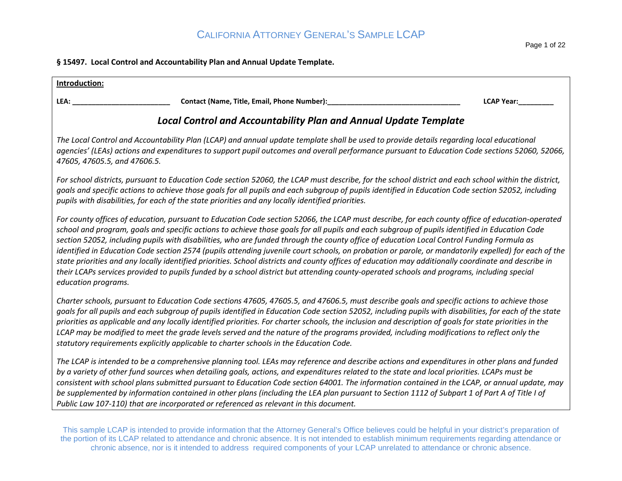#### **§ 15497. Local Control and Accountability Plan and Annual Update Template.**

| Introduction:                                                                                                                                                                                                                                                                                                                                                                                                                                                                                                                                                                                                                                                                                                                                                                                                                                                                                                                     |
|-----------------------------------------------------------------------------------------------------------------------------------------------------------------------------------------------------------------------------------------------------------------------------------------------------------------------------------------------------------------------------------------------------------------------------------------------------------------------------------------------------------------------------------------------------------------------------------------------------------------------------------------------------------------------------------------------------------------------------------------------------------------------------------------------------------------------------------------------------------------------------------------------------------------------------------|
| LEA:<br><b>LCAP Year:</b>                                                                                                                                                                                                                                                                                                                                                                                                                                                                                                                                                                                                                                                                                                                                                                                                                                                                                                         |
| <b>Local Control and Accountability Plan and Annual Update Template</b>                                                                                                                                                                                                                                                                                                                                                                                                                                                                                                                                                                                                                                                                                                                                                                                                                                                           |
| The Local Control and Accountability Plan (LCAP) and annual update template shall be used to provide details regarding local educational<br>agencies' (LEAs) actions and expenditures to support pupil outcomes and overall performance pursuant to Education Code sections 52060, 52066,<br>47605, 47605.5, and 47606.5.                                                                                                                                                                                                                                                                                                                                                                                                                                                                                                                                                                                                         |
| For school districts, pursuant to Education Code section 52060, the LCAP must describe, for the school district and each school within the district,<br>goals and specific actions to achieve those goals for all pupils and each subgroup of pupils identified in Education Code section 52052, including<br>pupils with disabilities, for each of the state priorities and any locally identified priorities.                                                                                                                                                                                                                                                                                                                                                                                                                                                                                                                   |
| For county offices of education, pursuant to Education Code section 52066, the LCAP must describe, for each county office of education-operated<br>school and program, goals and specific actions to achieve those goals for all pupils and each subgroup of pupils identified in Education Code<br>section 52052, including pupils with disabilities, who are funded through the county office of education Local Control Funding Formula as<br>identified in Education Code section 2574 (pupils attending juvenile court schools, on probation or parole, or mandatorily expelled) for each of the<br>state priorities and any locally identified priorities. School districts and county offices of education may additionally coordinate and describe in<br>their LCAPs services provided to pupils funded by a school district but attending county-operated schools and programs, including special<br>education programs. |
| Charter schools, pursuant to Education Code sections 47605, 47605.5, and 47606.5, must describe goals and specific actions to achieve those<br>goals for all pupils and each subgroup of pupils identified in Education Code section 52052, including pupils with disabilities, for each of the state<br>priorities as applicable and any locally identified priorities. For charter schools, the inclusion and description of goals for state priorities in the<br>LCAP may be modified to meet the grade levels served and the nature of the programs provided, including modifications to reflect only the<br>statutory requirements explicitly applicable to charter schools in the Education Code.                                                                                                                                                                                                                           |
| The LCAP is intended to be a comprehensive planning tool. LEAs may reference and describe actions and expenditures in other plans and funded<br>by a variety of other fund sources when detailing goals, actions, and expenditures related to the state and local priorities. LCAPs must be<br>consistent with school plans submitted pursuant to Education Code section 64001. The information contained in the LCAP, or annual update, may<br>be supplemented by information contained in other plans (including the LEA plan pursuant to Section 1112 of Subpart 1 of Part A of Title I of<br>Public Law 107-110) that are incorporated or referenced as relevant in this document.                                                                                                                                                                                                                                            |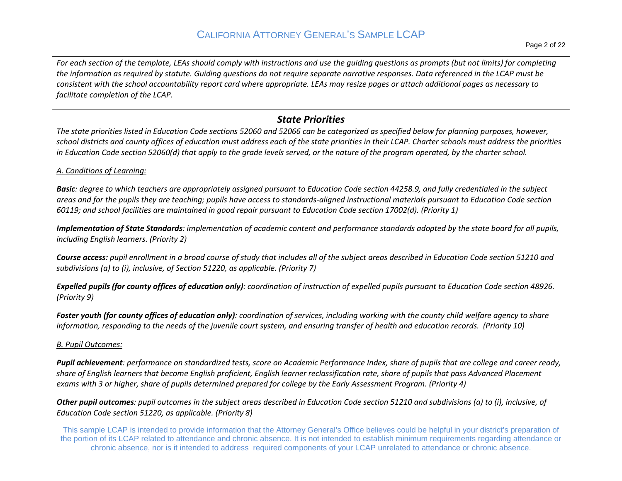*For each section of the template, LEAs should comply with instructions and use the guiding questions as prompts (but not limits) for completing the information as required by statute. Guiding questions do not require separate narrative responses. Data referenced in the LCAP must be consistent with the school accountability report card where appropriate. LEAs may resize pages or attach additional pages as necessary to facilitate completion of the LCAP.* 

### *State Priorities*

school districts and county offices of education must address each of the state priorities in their LCAP. Charter schools must address the priorities *The state priorities listed in Education Code sections 52060 and 52066 can be categorized as specified below for planning purposes, however, in Education Code section 52060(d) that apply to the grade levels served, or the nature of the program operated, by the charter school.* 

*A. Conditions of Learning:* 

 *areas and for the pupils they are teaching; pupils have access to standards-aligned instructional materials pursuant to Education Code section Basic: degree to which teachers are appropriately assigned pursuant to Education Code section 44258.9, and fully credentialed in the subject 60119; and school facilities are maintained in good repair pursuant to Education Code section 17002(d). (Priority 1)* 

 *Implementation of State Standards: implementation of academic content and performance standards adopted by the state board for all pupils, including English learners. (Priority 2)* 

*Course access: pupil enrollment in a broad course of study that includes all of the subject areas described in Education Code section 51210 and subdivisions (a) to (i), inclusive, of Section 51220, as applicable. (Priority 7)* 

 *Expelled pupils (for county offices of education only): coordination of instruction of expelled pupils pursuant to Education Code section 48926. (Priority 9)* 

Foster youth (for county offices of education only): coordination of services, including working with the county child welfare agency to share *information, responding to the needs of the juvenile court system, and ensuring transfer of health and education records. (Priority 10)* 

*B. Pupil Outcomes:* 

 *Pupil achievement: performance on standardized tests, score on Academic Performance Index, share of pupils that are college and career ready, share of English learners that become English proficient, English learner reclassification rate, share of pupils that pass Advanced Placement exams with 3 or higher, share of pupils determined prepared for college by the Early Assessment Program. (Priority 4)* 

 *Education Code section 51220, as applicable. (Priority 8) Other pupil outcomes: pupil outcomes in the subject areas described in Education Code section 51210 and subdivisions (a) to (i), inclusive, of*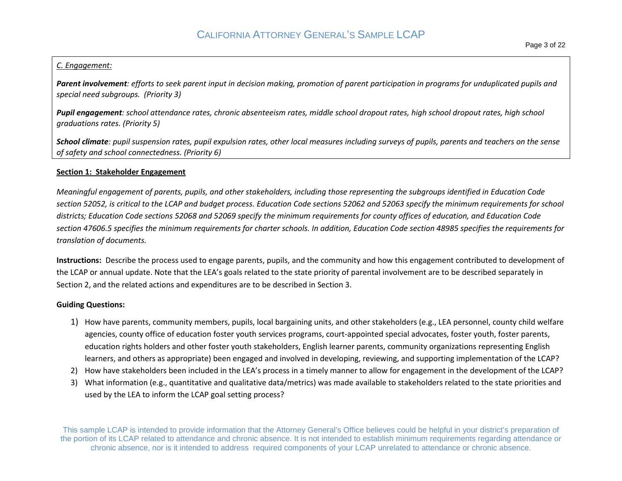#### *C. Engagement:*

*Parent involvement: efforts to seek parent input in decision making, promotion of parent participation in programs for unduplicated pupils and special need subgroups. (Priority 3)* 

*Pupil engagement: school attendance rates, chronic absenteeism rates, middle school dropout rates, high school dropout rates, high school graduations rates. (Priority 5)* 

*School climate: pupil suspension rates, pupil expulsion rates, other local measures including surveys of pupils, parents and teachers on the sense of safety and school connectedness. (Priority 6)* 

#### **Section 1: Stakeholder Engagement**

 *section 52052, is critical to the LCAP and budget process. Education Code sections 52062 and 52063 specify the minimum requirements for school Meaningful engagement of parents, pupils, and other stakeholders, including those representing the subgroups identified in Education Code districts; Education Code sections 52068 and 52069 specify the minimum requirements for county offices of education, and Education Code section 47606.5 specifies the minimum requirements for charter schools. In addition, Education Code section 48985 specifies the requirements for translation of documents.* 

 **Instructions:** Describe the process used to engage parents, pupils, and the community and how this engagement contributed to development of the LCAP or annual update. Note that the LEA's goals related to the state priority of parental involvement are to be described separately in Section 2, and the related actions and expenditures are to be described in Section 3.

#### **Guiding Questions:**

- 1) How have parents, community members, pupils, local bargaining units, and other stakeholders (e.g., LEA personnel, county child welfare agencies, county office of education foster youth services programs, court-appointed special advocates, foster youth, foster parents, learners, and others as appropriate) been engaged and involved in developing, reviewing, and supporting implementation of the LCAP? education rights holders and other foster youth stakeholders, English learner parents, community organizations representing English
- 2) How have stakeholders been included in the LEA's process in a timely manner to allow for engagement in the development of the LCAP?
- 3) What information (e.g., quantitative and qualitative data/metrics) was made available to stakeholders related to the state priorities and used by the LEA to inform the LCAP goal setting process?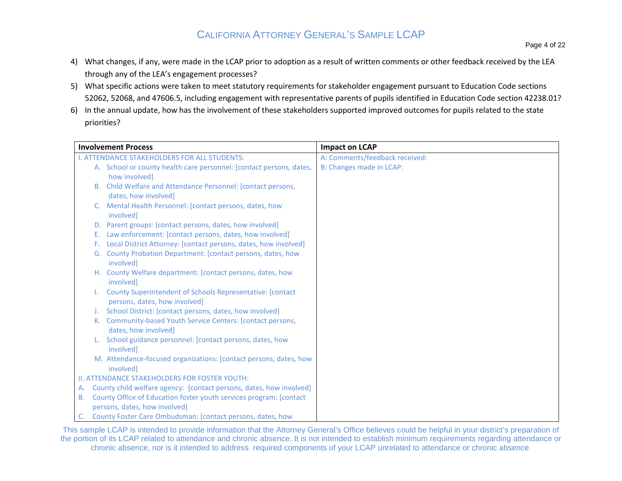- 4) What changes, if any, were made in the LCAP prior to adoption as a result of written comments or other feedback received by the LEA through any of the LEA's engagement processes?
- 5) What specific actions were taken to meet statutory requirements for stakeholder engagement pursuant to Education Code sections 52062, 52068, and 47606.5, including engagement with representative parents of pupils identified in Education Code section 42238.01?
- 6) In the annual update, how has the involvement of these stakeholders supported improved outcomes for pupils related to the state priorities?

|           | <b>Involvement Process</b>                                                                  | <b>Impact on LCAP</b>          |
|-----------|---------------------------------------------------------------------------------------------|--------------------------------|
|           | <b>I. ATTENDANCE STAKEHOLDERS FOR ALL STUDENTS:</b>                                         | A: Comments/feedback received: |
|           | A. School or county health care personnel: [contact persons, dates,                         | B: Changes made in LCAP:       |
|           | how involved]                                                                               |                                |
|           | B. Child Welfare and Attendance Personnel: [contact persons,                                |                                |
|           | dates, how involved]                                                                        |                                |
|           | C. Mental Health Personnel: [contact persons, dates, how<br>involved]                       |                                |
|           | D. Parent groups: [contact persons, dates, how involved]                                    |                                |
|           | Law enforcement: [contact persons, dates, how involved]<br>Е.                               |                                |
|           | F. Local District Attorney: [contact persons, dates, how involved]                          |                                |
|           | G. County Probation Department: [contact persons, dates, how<br>involved]                   |                                |
|           | H. County Welfare department: [contact persons, dates, how<br>involved]                     |                                |
|           | County Superintendent of Schools Representative: [contact]<br>persons, dates, how involved] |                                |
|           | School District: [contact persons, dates, how involved]                                     |                                |
|           | Community-based Youth Service Centers: [contact persons,<br>К.                              |                                |
|           | dates, how involved]                                                                        |                                |
|           | School guidance personnel: [contact persons, dates, how                                     |                                |
|           | involved]                                                                                   |                                |
|           | M. Attendance-focused organizations: [contact persons, dates, how<br>involved]              |                                |
|           | II. ATTENDANCE STAKEHOLDERS FOR FOSTER YOUTH:                                               |                                |
| Α.        | County child welfare agency: [contact persons, dates, how involved]                         |                                |
| <b>B.</b> | County Office of Education foster youth services program: [contact]                         |                                |
|           | persons, dates, how involved]                                                               |                                |
|           | County Foster Care Ombudsman: [contact persons, dates, how                                  |                                |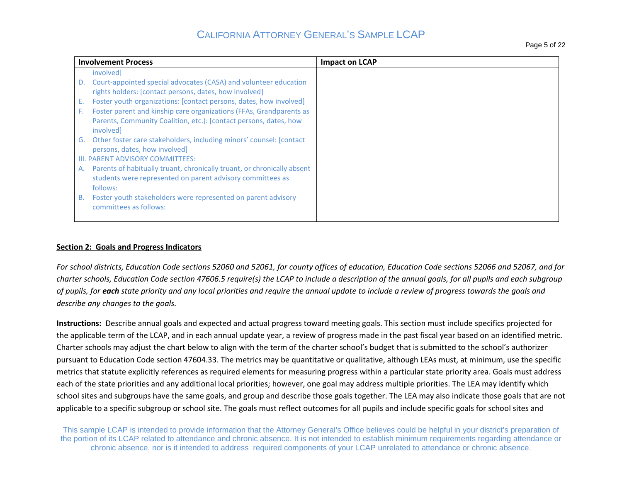|    | <b>Involvement Process</b>                                              | <b>Impact on LCAP</b> |
|----|-------------------------------------------------------------------------|-----------------------|
|    | involved                                                                |                       |
| D. | Court-appointed special advocates (CASA) and volunteer education        |                       |
|    | rights holders: [contact persons, dates, how involved]                  |                       |
| Е. | Foster youth organizations: [contact persons, dates, how involved]      |                       |
| F. | Foster parent and kinship care organizations (FFAs, Grandparents as     |                       |
|    | Parents, Community Coalition, etc.): [contact persons, dates, how       |                       |
|    | involved                                                                |                       |
| G. | Other foster care stakeholders, including minors' counsel: [contact]    |                       |
|    | persons, dates, how involved]                                           |                       |
|    | III. PARENT ADVISORY COMMITTEES:                                        |                       |
| А. | Parents of habitually truant, chronically truant, or chronically absent |                       |
|    | students were represented on parent advisory committees as              |                       |
|    | follows:                                                                |                       |
| В. | Foster youth stakeholders were represented on parent advisory           |                       |
|    | committees as follows:                                                  |                       |
|    |                                                                         |                       |

#### **Section 2: Goals and Progress Indicators**

*For school districts, Education Code sections 52060 and 52061, for county offices of education, Education Code sections 52066 and 52067, and for charter schools, Education Code section 47606.5 require(s) the LCAP to include a description of the annual goals, for all pupils and each subgroup of pupils, for each state priority and any local priorities and require the annual update to include a review of progress towards the goals and describe any changes to the goals.* 

**Instructions:** Describe annual goals and expected and actual progress toward meeting goals. This section must include specifics projected for the applicable term of the LCAP, and in each annual update year, a review of progress made in the past fiscal year based on an identified metric. Charter schools may adjust the chart below to align with the term of the charter school's budget that is submitted to the school's authorizer pursuant to Education Code section 47604.33. The metrics may be quantitative or qualitative, although LEAs must, at minimum, use the specific metrics that statute explicitly references as required elements for measuring progress within a particular state priority area. Goals must address each of the state priorities and any additional local priorities; however, one goal may address multiple priorities. The LEA may identify which school sites and subgroups have the same goals, and group and describe those goals together. The LEA may also indicate those goals that are not applicable to a specific subgroup or school site. The goals must reflect outcomes for all pupils and include specific goals for school sites and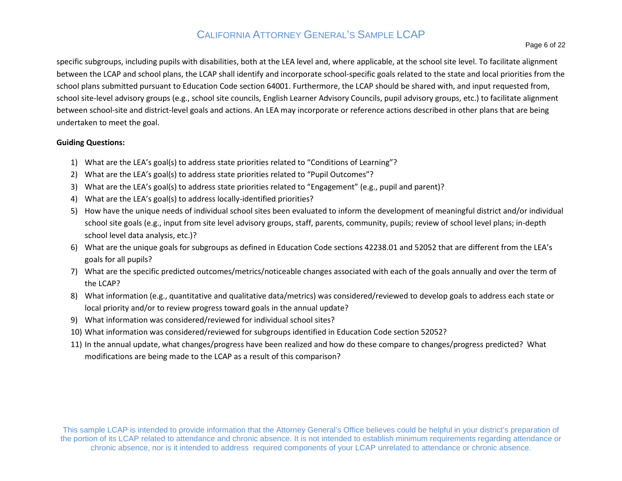specific subgroups, including pupils with disabilities, both at the LEA level and, where applicable, at the school site level. To facilitate alignment between the LCAP and school plans, the LCAP shall identify and incorporate school-specific goals related to the state and local priorities from the school plans submitted pursuant to Education Code section 64001. Furthermore, the LCAP should be shared with, and input requested from, school site-level advisory groups (e.g., school site councils, English Learner Advisory Councils, pupil advisory groups, etc.) to facilitate alignment between school-site and district-level goals and actions. An LEA may incorporate or reference actions described in other plans that are being undertaken to meet the goal.

#### **Guiding Questions:**

- 1) What are the LEA's goal(s) to address state priorities related to "Conditions of Learning"?
- 2) What are the LEA's goal(s) to address state priorities related to "Pupil Outcomes"?
- 3) What are the LEA's goal(s) to address state priorities related to "Engagement" (e.g., pupil and parent)?
- 4) What are the LEA's goal(s) to address locally-identified priorities?
- 5) How have the unique needs of individual school sites been evaluated to inform the development of meaningful district and/or individual school level data analysis, etc.)? school site goals (e.g., input from site level advisory groups, staff, parents, community, pupils; review of school level plans; in-depth
- 6) What are the unique goals for subgroups as defined in Education Code sections 42238.01 and 52052 that are different from the LEA's goals for all pupils?
- 7) What are the specific predicted outcomes/metrics/noticeable changes associated with each of the goals annually and over the term of the LCAP?
- 8) What information (e.g., quantitative and qualitative data/metrics) was considered/reviewed to develop goals to address each state or local priority and/or to review progress toward goals in the annual update?
- 9) What information was considered/reviewed for individual school sites?
- 10) What information was considered/reviewed for subgroups identified in Education Code section 52052?
- 11) In the annual update, what changes/progress have been realized and how do these compare to changes/progress predicted? What modifications are being made to the LCAP as a result of this comparison?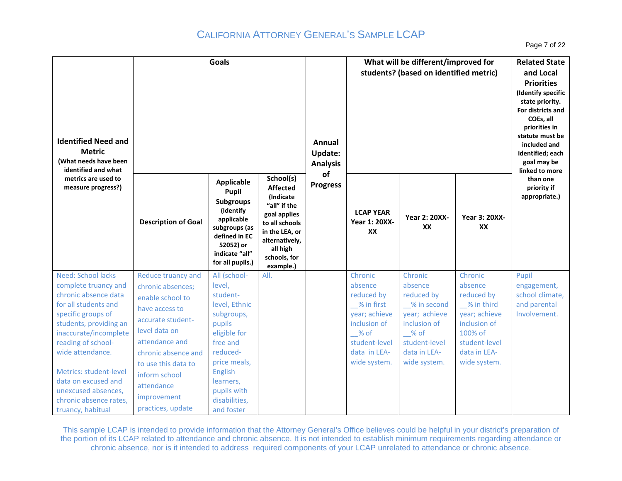Page 7 of 22

| <b>Identified Need and</b><br><b>Metric</b><br>(What needs have been<br>identified and what                                                                                                                                                                                                                                          |                                                                                                                                                                                                                                                        | <b>Goals</b>                                                                                                                                                                                              |                                                                                                                                                                          | Annual<br><b>Update:</b><br><b>Analysis</b> | What will be different/improved for<br>students? (based on identified metric)                                                              | <b>Related State</b><br>and Local<br><b>Priorities</b><br>(Identify specific<br>state priority.<br>For districts and<br>COEs, all<br>priorities in<br>statute must be<br>included and<br>identified; each<br>goal may be<br>linked to more |                                                                                                                                             |                                                                         |
|--------------------------------------------------------------------------------------------------------------------------------------------------------------------------------------------------------------------------------------------------------------------------------------------------------------------------------------|--------------------------------------------------------------------------------------------------------------------------------------------------------------------------------------------------------------------------------------------------------|-----------------------------------------------------------------------------------------------------------------------------------------------------------------------------------------------------------|--------------------------------------------------------------------------------------------------------------------------------------------------------------------------|---------------------------------------------|--------------------------------------------------------------------------------------------------------------------------------------------|--------------------------------------------------------------------------------------------------------------------------------------------------------------------------------------------------------------------------------------------|---------------------------------------------------------------------------------------------------------------------------------------------|-------------------------------------------------------------------------|
| metrics are used to<br>measure progress?)                                                                                                                                                                                                                                                                                            | <b>Description of Goal</b>                                                                                                                                                                                                                             | <b>Applicable</b><br>Pupil<br><b>Subgroups</b><br>(Identify<br>applicable<br>subgroups (as<br>defined in EC<br>52052) or<br>indicate "all"<br>for all pupils.)                                            | School(s)<br><b>Affected</b><br>(Indicate<br>"all" if the<br>goal applies<br>to all schools<br>in the LEA, or<br>alternatively,<br>all high<br>schools, for<br>example.) | of<br><b>Progress</b>                       | <b>LCAP YEAR</b><br><b>Year 1: 20XX-</b><br>XX                                                                                             | <b>Year 2: 20XX-</b><br>XX                                                                                                                                                                                                                 | <b>Year 3: 20XX-</b><br>XX                                                                                                                  | than one<br>priority if<br>appropriate.)                                |
| Need: School lacks<br>complete truancy and<br>chronic absence data<br>for all students and<br>specific groups of<br>students, providing an<br>inaccurate/incomplete<br>reading of school-<br>wide attendance.<br>Metrics: student-level<br>data on excused and<br>unexcused absences,<br>chronic absence rates,<br>truancy, habitual | Reduce truancy and<br>chronic absences;<br>enable school to<br>have access to<br>accurate student-<br>level data on<br>attendance and<br>chronic absence and<br>to use this data to<br>inform school<br>attendance<br>improvement<br>practices, update | All (school-<br>level,<br>student-<br>level, Ethnic<br>subgroups,<br>pupils<br>eligible for<br>free and<br>reduced-<br>price meals,<br>English<br>learners,<br>pupils with<br>disabilities,<br>and foster | All.                                                                                                                                                                     |                                             | Chronic<br>absence<br>reduced by<br>% in first<br>year; achieve<br>inclusion of<br>$%$ of<br>student-level<br>data in LEA-<br>wide system. | Chronic<br>absence<br>reduced by<br>% in second<br>year; achieve<br>inclusion of<br>$%$ of<br>student-level<br>data in LEA-<br>wide system.                                                                                                | Chronic<br>absence<br>reduced by<br>% in third<br>year; achieve<br>inclusion of<br>100% of<br>student-level<br>data in LEA-<br>wide system. | Pupil<br>engagement,<br>school climate,<br>and parental<br>Involvement. |

 This sample LCAP is intended to provide information that the Attorney General's Office believes could be helpful in your district's preparation of the portion of its LCAP related to attendance and chronic absence. It is not intended to establish minimum requirements regarding attendance or chronic absence, nor is it intended to address required components of your LCAP unrelated to attendance or chronic absence .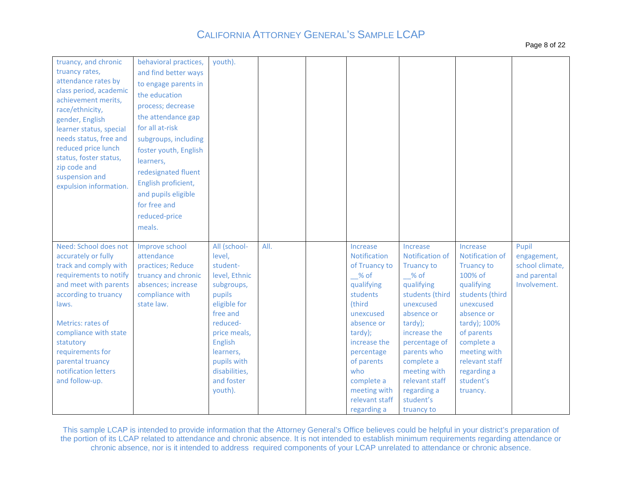| Page 8 of 22 |  |  |
|--------------|--|--|
|--------------|--|--|

| truancy, and chronic<br>truancy rates,<br>attendance rates by<br>class period, academic<br>achievement merits,<br>race/ethnicity,<br>gender, English<br>learner status, special<br>needs status, free and<br>reduced price lunch<br>status, foster status,<br>zip code and<br>suspension and<br>expulsion information. | behavioral practices,<br>and find better ways<br>to engage parents in<br>the education<br>process; decrease<br>the attendance gap<br>for all at-risk<br>subgroups, including<br>foster youth, English<br>learners,<br>redesignated fluent<br>English proficient,<br>and pupils eligible<br>for free and<br>reduced-price<br>meals. | youth).                                                                                                                                                                                                              |      |                                                                                                                                                                                                                                                 |                                                                                                                                                                                                                                                                                |                                                                                                                                                                                                                                               |                                                                         |
|------------------------------------------------------------------------------------------------------------------------------------------------------------------------------------------------------------------------------------------------------------------------------------------------------------------------|------------------------------------------------------------------------------------------------------------------------------------------------------------------------------------------------------------------------------------------------------------------------------------------------------------------------------------|----------------------------------------------------------------------------------------------------------------------------------------------------------------------------------------------------------------------|------|-------------------------------------------------------------------------------------------------------------------------------------------------------------------------------------------------------------------------------------------------|--------------------------------------------------------------------------------------------------------------------------------------------------------------------------------------------------------------------------------------------------------------------------------|-----------------------------------------------------------------------------------------------------------------------------------------------------------------------------------------------------------------------------------------------|-------------------------------------------------------------------------|
| Need: School does not<br>accurately or fully<br>track and comply with<br>requirements to notify<br>and meet with parents<br>according to truancy<br>laws.<br>Metrics: rates of<br>compliance with state<br>statutory<br>requirements for<br>parental truancy<br>notification letters<br>and follow-up.                 | Improve school<br>attendance<br>practices; Reduce<br>truancy and chronic<br>absences; increase<br>compliance with<br>state law.                                                                                                                                                                                                    | All (school-<br>level,<br>student-<br>level, Ethnic<br>subgroups,<br>pupils<br>eligible for<br>free and<br>reduced-<br>price meals,<br>English<br>learners,<br>pupils with<br>disabilities,<br>and foster<br>youth). | All. | Increase<br>Notification<br>of Truancy to<br>$%$ of<br>qualifying<br>students<br>(third<br>unexcused<br>absence or<br>tardy);<br>increase the<br>percentage<br>of parents<br>who<br>complete a<br>meeting with<br>relevant staff<br>regarding a | Increase<br>Notification of<br><b>Truancy to</b><br>$\_$ % of<br>qualifying<br>students (third<br>unexcused<br>absence or<br>tardy);<br>increase the<br>percentage of<br>parents who<br>complete a<br>meeting with<br>relevant staff<br>regarding a<br>student's<br>truancy to | Increase<br>Notification of<br><b>Truancy to</b><br>100% of<br>qualifying<br>students (third<br>unexcused<br>absence or<br>tardy); 100%<br>of parents<br>complete a<br>meeting with<br>relevant staff<br>regarding a<br>student's<br>truancy. | Pupil<br>engagement,<br>school climate,<br>and parental<br>Involvement. |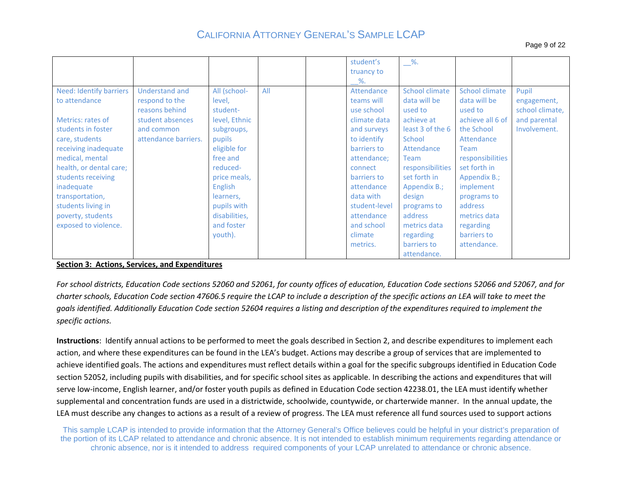Page 9 of 22

|                                |                       |                |     | student's     | $\_\%$ .         |                       |                 |
|--------------------------------|-----------------------|----------------|-----|---------------|------------------|-----------------------|-----------------|
|                                |                       |                |     | truancy to    |                  |                       |                 |
|                                |                       |                |     | %.            |                  |                       |                 |
| <b>Need: Identify barriers</b> | <b>Understand and</b> | All (school-   | All | Attendance    | School climate   | <b>School climate</b> | Pupil           |
| to attendance                  | respond to the        | level,         |     | teams will    | data will be     | data will be          | engagement,     |
|                                | reasons behind        | student-       |     | use school    | used to          | used to               | school climate, |
| Metrics: rates of              | student absences      | level, Ethnic  |     | climate data  | achieve at       | achieve all 6 of      | and parental    |
| students in foster             | and common            | subgroups,     |     | and surveys   | least 3 of the 6 | the School            | Involvement.    |
| care, students                 | attendance barriers.  | pupils         |     | to identify   | School           | Attendance            |                 |
| receiving inadequate           |                       | eligible for   |     | barriers to   | Attendance       | <b>Team</b>           |                 |
| medical, mental                |                       | free and       |     | attendance;   | <b>Team</b>      | responsibilities      |                 |
| health, or dental care;        |                       | reduced-       |     | connect       | responsibilities | set forth in          |                 |
| students receiving             |                       | price meals,   |     | barriers to   | set forth in     | Appendix B.;          |                 |
| inadequate                     |                       | <b>English</b> |     | attendance    | Appendix B.;     | implement             |                 |
| transportation,                |                       | learners,      |     | data with     | design           | programs to           |                 |
| students living in             |                       | pupils with    |     | student-level | programs to      | address               |                 |
| poverty, students              |                       | disabilities,  |     | attendance    | address          | metrics data          |                 |
| exposed to violence.           |                       | and foster     |     | and school    | metrics data     | regarding             |                 |
|                                |                       | youth).        |     | climate       | regarding        | barriers to           |                 |
|                                |                       |                |     | metrics.      | barriers to      | attendance.           |                 |
|                                |                       |                |     |               | attendance.      |                       |                 |

#### **Section 3: Actions, Services, and Expenditures**

 *charter schools, Education Code section 47606.5 require the LCAP to include a description of the specific actions an LEA will take to meet the For school districts, Education Code sections 52060 and 52061, for county offices of education, Education Code sections 52066 and 52067, and for goals identified. Additionally Education Code section 52604 requires a listing and description of the expenditures required to implement the specific actions.* 

 serve low-income, English learner, and/or foster youth pupils as defined in Education Code section 42238.01, the LEA must identify whether LEA must describe any changes to actions as a result of a review of progress. The LEA must reference all fund sources used to support actions **Instructions**: Identify annual actions to be performed to meet the goals described in Section 2, and describe expenditures to implement each action, and where these expenditures can be found in the LEA's budget. Actions may describe a group of services that are implemented to achieve identified goals. The actions and expenditures must reflect details within a goal for the specific subgroups identified in Education Code section 52052, including pupils with disabilities, and for specific school sites as applicable. In describing the actions and expenditures that will supplemental and concentration funds are used in a districtwide, schoolwide, countywide, or charterwide manner. In the annual update, the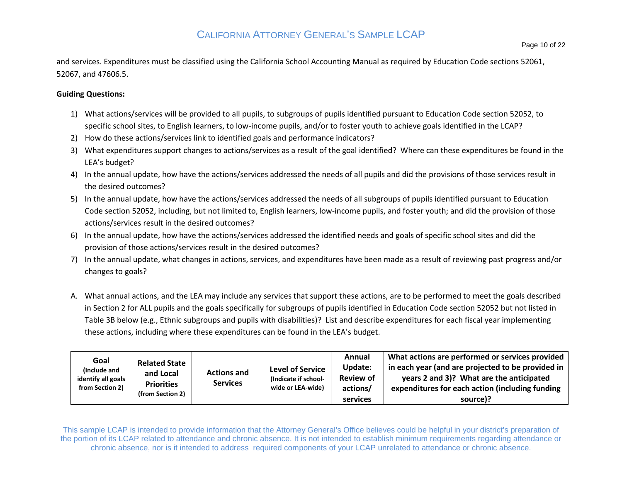and services. Expenditures must be classified using the California School Accounting Manual as required by Education Code sections 52061, 52067, and 47606.5.

#### **Guiding Questions:**

- 1) What actions/services will be provided to all pupils, to subgroups of pupils identified pursuant to Education Code section 52052, to specific school sites, to English learners, to low-income pupils, and/or to foster youth to achieve goals identified in the LCAP?
- 2) How do these actions/services link to identified goals and performance indicators?
- 3) What expenditures support changes to actions/services as a result of the goal identified? Where can these expenditures be found in the LEA's budget?
- 4) In the annual update, how have the actions/services addressed the needs of all pupils and did the provisions of those services result in the desired outcomes?
- Code section 52052, including, but not limited to, English learners, low-income pupils, and foster youth; and did the provision of those 5) In the annual update, how have the actions/services addressed the needs of all subgroups of pupils identified pursuant to Education actions/services result in the desired outcomes?
- 6) In the annual update, how have the actions/services addressed the identified needs and goals of specific school sites and did the provision of those actions/services result in the desired outcomes?
- 7) In the annual update, what changes in actions, services, and expenditures have been made as a result of reviewing past progress and/or changes to goals?
- A. What annual actions, and the LEA may include any services that support these actions, are to be performed to meet the goals described these actions, including where these expenditures can be found in the LEA's budget. in Section 2 for ALL pupils and the goals specifically for subgroups of pupils identified in Education Code section 52052 but not listed in Table 3B below (e.g., Ethnic subgroups and pupils with disabilities)? List and describe expenditures for each fiscal year implementing

| Goal<br>(Include and<br>identify all goals<br>from Section 2) | <b>Related State</b><br>and Local<br><b>Priorities</b><br>(from Section 2) | <b>Actions and</b><br><b>Services</b> | <b>Level of Service</b><br>(Indicate if school-<br>wide or LEA-wide) | Annual<br>Update:<br><b>Review of</b><br>actions/<br>services | What actions are performed or services provided<br>in each year (and are projected to be provided in<br>years 2 and 3)? What are the anticipated<br>expenditures for each action (including funding<br>source)? |
|---------------------------------------------------------------|----------------------------------------------------------------------------|---------------------------------------|----------------------------------------------------------------------|---------------------------------------------------------------|-----------------------------------------------------------------------------------------------------------------------------------------------------------------------------------------------------------------|
|---------------------------------------------------------------|----------------------------------------------------------------------------|---------------------------------------|----------------------------------------------------------------------|---------------------------------------------------------------|-----------------------------------------------------------------------------------------------------------------------------------------------------------------------------------------------------------------|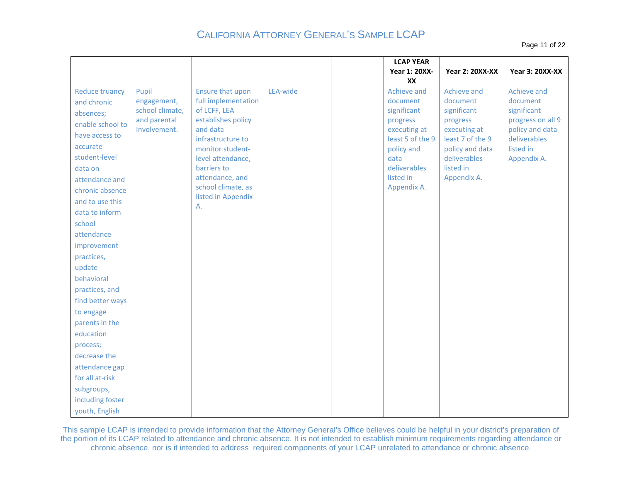Page 11 of 22

|                             |                      |                                         |          | <b>LCAP YEAR</b><br><b>Year 1: 20XX-</b> | <b>Year 2: 20XX-XX</b>          | <b>Year 3: 20XX-XX</b>   |
|-----------------------------|----------------------|-----------------------------------------|----------|------------------------------------------|---------------------------------|--------------------------|
|                             |                      |                                         |          | XX                                       |                                 |                          |
| Reduce truancy              | Pupil<br>engagement, | Ensure that upon<br>full implementation | LEA-wide | Achieve and<br>document                  | Achieve and<br>document         | Achieve and<br>document  |
| and chronic<br>absences;    | school climate,      | of LCFF, LEA                            |          | significant                              | significant                     | significant              |
| enable school to            | and parental         | establishes policy                      |          | progress                                 | progress                        | progress on all 9        |
| have access to              | Involvement.         | and data                                |          | executing at                             | executing at                    | policy and data          |
| accurate                    |                      | infrastructure to                       |          | least 5 of the 9                         | least 7 of the 9                | deliverables             |
| student-level               |                      | monitor student-<br>level attendance,   |          | policy and<br>data                       | policy and data<br>deliverables | listed in<br>Appendix A. |
| data on                     |                      | barriers to                             |          | deliverables                             | listed in                       |                          |
| attendance and              |                      | attendance, and                         |          | listed in                                | Appendix A.                     |                          |
| chronic absence             |                      | school climate, as                      |          | Appendix A.                              |                                 |                          |
| and to use this             |                      | listed in Appendix<br>Α.                |          |                                          |                                 |                          |
| data to inform              |                      |                                         |          |                                          |                                 |                          |
| school                      |                      |                                         |          |                                          |                                 |                          |
| attendance                  |                      |                                         |          |                                          |                                 |                          |
| improvement                 |                      |                                         |          |                                          |                                 |                          |
| practices,                  |                      |                                         |          |                                          |                                 |                          |
| update                      |                      |                                         |          |                                          |                                 |                          |
| behavioral                  |                      |                                         |          |                                          |                                 |                          |
| practices, and              |                      |                                         |          |                                          |                                 |                          |
| find better ways            |                      |                                         |          |                                          |                                 |                          |
| to engage<br>parents in the |                      |                                         |          |                                          |                                 |                          |
| education                   |                      |                                         |          |                                          |                                 |                          |
| process;                    |                      |                                         |          |                                          |                                 |                          |
| decrease the                |                      |                                         |          |                                          |                                 |                          |
| attendance gap              |                      |                                         |          |                                          |                                 |                          |
| for all at-risk             |                      |                                         |          |                                          |                                 |                          |
| subgroups,                  |                      |                                         |          |                                          |                                 |                          |
| including foster            |                      |                                         |          |                                          |                                 |                          |
| youth, English              |                      |                                         |          |                                          |                                 |                          |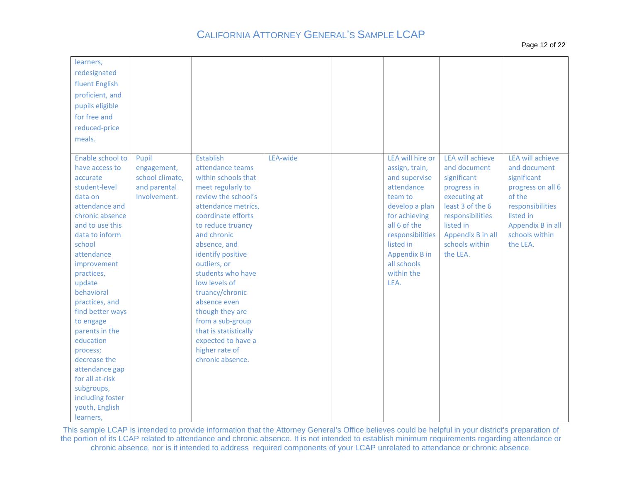| learners,<br>redesignated<br>fluent English<br>proficient, and<br>pupils eligible<br>for free and<br>reduced-price<br>meals.                                                                                                                                                                                                                                                                                                                          |                                                                         |                                                                                                                                                                                                                                                                                                                                                                                                                                             |          |                                                                                                                                                                                                                        |                                                                                                                                                                                        |                                                                                                                                                                    |
|-------------------------------------------------------------------------------------------------------------------------------------------------------------------------------------------------------------------------------------------------------------------------------------------------------------------------------------------------------------------------------------------------------------------------------------------------------|-------------------------------------------------------------------------|---------------------------------------------------------------------------------------------------------------------------------------------------------------------------------------------------------------------------------------------------------------------------------------------------------------------------------------------------------------------------------------------------------------------------------------------|----------|------------------------------------------------------------------------------------------------------------------------------------------------------------------------------------------------------------------------|----------------------------------------------------------------------------------------------------------------------------------------------------------------------------------------|--------------------------------------------------------------------------------------------------------------------------------------------------------------------|
| Enable school to<br>have access to<br>accurate<br>student-level<br>data on<br>attendance and<br>chronic absence<br>and to use this<br>data to inform<br>school<br>attendance<br>improvement<br>practices,<br>update<br>behavioral<br>practices, and<br>find better ways<br>to engage<br>parents in the<br>education<br>process;<br>decrease the<br>attendance gap<br>for all at-risk<br>subgroups,<br>including foster<br>youth, English<br>learners, | Pupil<br>engagement,<br>school climate,<br>and parental<br>Involvement. | Establish<br>attendance teams<br>within schools that<br>meet regularly to<br>review the school's<br>attendance metrics,<br>coordinate efforts<br>to reduce truancy<br>and chronic<br>absence, and<br>identify positive<br>outliers, or<br>students who have<br>low levels of<br>truancy/chronic<br>absence even<br>though they are<br>from a sub-group<br>that is statistically<br>expected to have a<br>higher rate of<br>chronic absence. | LEA-wide | LEA will hire or<br>assign, train,<br>and supervise<br>attendance<br>team to<br>develop a plan<br>for achieving<br>all 6 of the<br>responsibilities<br>listed in<br>Appendix B in<br>all schools<br>within the<br>LEA. | LEA will achieve<br>and document<br>significant<br>progress in<br>executing at<br>least 3 of the 6<br>responsibilities<br>listed in<br>Appendix B in all<br>schools within<br>the LEA. | LEA will achieve<br>and document<br>significant<br>progress on all 6<br>of the<br>responsibilities<br>listed in<br>Appendix B in all<br>schools within<br>the LEA. |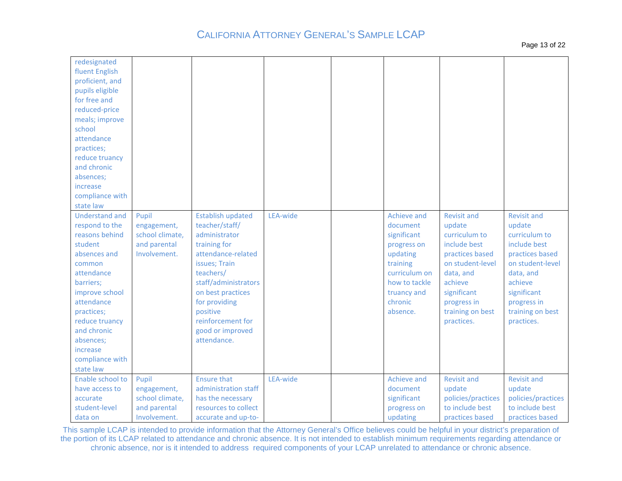| redesignated<br>fluent English<br>proficient, and<br>pupils eligible<br>for free and<br>reduced-price<br>meals; improve<br>school<br>attendance<br>practices;<br>reduce truancy<br>and chronic<br>absences;<br>increase<br>compliance with<br>state law<br><b>Understand and</b> | Pupil                        | <b>Establish updated</b>                    | LEA-wide | Achieve and                    | <b>Revisit and</b>                    | <b>Revisit and</b>                    |
|----------------------------------------------------------------------------------------------------------------------------------------------------------------------------------------------------------------------------------------------------------------------------------|------------------------------|---------------------------------------------|----------|--------------------------------|---------------------------------------|---------------------------------------|
| respond to the                                                                                                                                                                                                                                                                   | engagement,                  | teacher/staff/                              |          | document                       | update                                | update                                |
| reasons behind                                                                                                                                                                                                                                                                   | school climate,              | administrator                               |          | significant                    | curriculum to                         | curriculum to                         |
| student                                                                                                                                                                                                                                                                          | and parental                 | training for                                |          | progress on                    | include best                          | include best                          |
| absences and                                                                                                                                                                                                                                                                     | Involvement.                 | attendance-related                          |          | updating                       | practices based                       | practices based                       |
| common                                                                                                                                                                                                                                                                           |                              | issues; Train                               |          | training                       | on student-level                      | on student-level                      |
| attendance                                                                                                                                                                                                                                                                       |                              | teachers/<br>staff/administrators           |          | curriculum on<br>how to tackle | data, and<br>achieve                  | data, and<br>achieve                  |
| barriers;<br>improve school                                                                                                                                                                                                                                                      |                              | on best practices                           |          | truancy and                    | significant                           | significant                           |
| attendance                                                                                                                                                                                                                                                                       |                              | for providing                               |          | chronic                        | progress in                           | progress in                           |
| practices;                                                                                                                                                                                                                                                                       |                              | positive                                    |          | absence.                       | training on best                      | training on best                      |
| reduce truancy                                                                                                                                                                                                                                                                   |                              | reinforcement for                           |          |                                | practices.                            | practices.                            |
| and chronic                                                                                                                                                                                                                                                                      |                              | good or improved                            |          |                                |                                       |                                       |
| absences;                                                                                                                                                                                                                                                                        |                              | attendance.                                 |          |                                |                                       |                                       |
| increase                                                                                                                                                                                                                                                                         |                              |                                             |          |                                |                                       |                                       |
| compliance with                                                                                                                                                                                                                                                                  |                              |                                             |          |                                |                                       |                                       |
| state law                                                                                                                                                                                                                                                                        |                              |                                             |          |                                |                                       |                                       |
| Enable school to                                                                                                                                                                                                                                                                 | Pupil                        | <b>Ensure that</b>                          | LEA-wide | Achieve and                    | <b>Revisit and</b>                    | <b>Revisit and</b>                    |
| have access to                                                                                                                                                                                                                                                                   | engagement,                  | administration staff                        |          | document                       | update                                | update                                |
| accurate                                                                                                                                                                                                                                                                         | school climate,              | has the necessary                           |          | significant                    | policies/practices<br>to include best | policies/practices<br>to include best |
| student-level                                                                                                                                                                                                                                                                    | and parental<br>Involvement. | resources to collect<br>accurate and up-to- |          | progress on                    | practices based                       | practices based                       |
| data on                                                                                                                                                                                                                                                                          |                              |                                             |          | updating                       |                                       |                                       |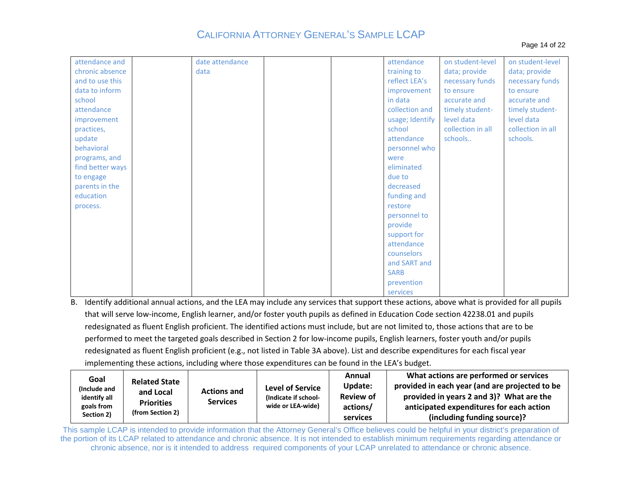| attendance and   | date attendance |  | attendance      | on student-level  | on student-level  |
|------------------|-----------------|--|-----------------|-------------------|-------------------|
| chronic absence  | data            |  | training to     | data; provide     | data; provide     |
| and to use this  |                 |  | reflect LEA's   | necessary funds   | necessary funds   |
| data to inform   |                 |  | improvement     | to ensure         | to ensure         |
| school           |                 |  | in data         | accurate and      | accurate and      |
| attendance       |                 |  | collection and  | timely student-   | timely student-   |
| improvement      |                 |  | usage; Identify | level data        | level data        |
| practices,       |                 |  | school          | collection in all | collection in all |
| update           |                 |  | attendance      | schools           | schools.          |
| behavioral       |                 |  | personnel who   |                   |                   |
| programs, and    |                 |  | were            |                   |                   |
| find better ways |                 |  | eliminated      |                   |                   |
| to engage        |                 |  | due to          |                   |                   |
| parents in the   |                 |  | decreased       |                   |                   |
| education        |                 |  | funding and     |                   |                   |
| process.         |                 |  | restore         |                   |                   |
|                  |                 |  | personnel to    |                   |                   |
|                  |                 |  | provide         |                   |                   |
|                  |                 |  | support for     |                   |                   |
|                  |                 |  | attendance      |                   |                   |
|                  |                 |  | counselors      |                   |                   |
|                  |                 |  | and SART and    |                   |                   |
|                  |                 |  | <b>SARB</b>     |                   |                   |
|                  |                 |  | prevention      |                   |                   |
|                  |                 |  | services        |                   |                   |

B. Identify additional annual actions, and the LEA may include any services that support these actions, above what is provided for all pupils performed to meet the targeted goals described in Section 2 for low-income pupils, English learners, foster youth and/or pupils that will serve low-income, English learner, and/or foster youth pupils as defined in Education Code section 42238.01 and pupils redesignated as fluent English proficient. The identified actions must include, but are not limited to, those actions that are to be redesignated as fluent English proficient (e.g., not listed in Table 3A above). List and describe expenditures for each fiscal year implementing these actions, including where those expenditures can be found in the LEA's budget.

| Goal                         | <b>Related State</b>           |                                       |                                                 | Annual<br><b>Update:</b> | What actions are performed or services<br>provided in each year (and are projected to be |  |
|------------------------------|--------------------------------|---------------------------------------|-------------------------------------------------|--------------------------|------------------------------------------------------------------------------------------|--|
| (Include and<br>identify all | and Local<br><b>Priorities</b> | <b>Actions and</b><br><b>Services</b> | <b>Level of Service</b><br>(Indicate if school- | <b>Review of</b>         | provided in years 2 and 3)? What are the                                                 |  |
| goals from<br>Section 2)     | (from Section 2)               |                                       | wide or LEA-wide)                               | actions/<br>services     | anticipated expenditures for each action<br>(including funding source)?                  |  |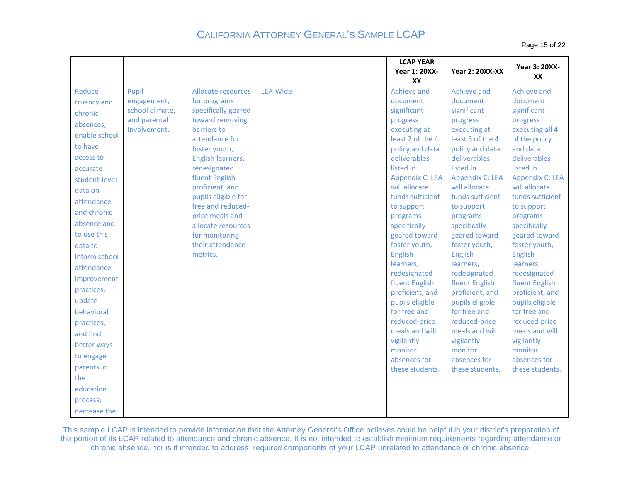Page 15 of 22

|                                                                                                                                                                                                                                                                                                                                                                                                                                                                                         |                                                                                                                                                                                                                                                                                                                                                 |          |                                                                                                                                             | <b>LCAP YEAR</b><br><b>Year 1: 20XX-</b><br>XX                                                                                                                                                                                                                                                                                             | <b>Year 2: 20XX-XX</b>                                                                                                                                                                                                                                                                                                                                                                                                                                                                    | <b>Year 3: 20XX-</b><br>XX                                                                                                                                                                                                                                                                                                                                                                                                                                                                |
|-----------------------------------------------------------------------------------------------------------------------------------------------------------------------------------------------------------------------------------------------------------------------------------------------------------------------------------------------------------------------------------------------------------------------------------------------------------------------------------------|-------------------------------------------------------------------------------------------------------------------------------------------------------------------------------------------------------------------------------------------------------------------------------------------------------------------------------------------------|----------|---------------------------------------------------------------------------------------------------------------------------------------------|--------------------------------------------------------------------------------------------------------------------------------------------------------------------------------------------------------------------------------------------------------------------------------------------------------------------------------------------|-------------------------------------------------------------------------------------------------------------------------------------------------------------------------------------------------------------------------------------------------------------------------------------------------------------------------------------------------------------------------------------------------------------------------------------------------------------------------------------------|-------------------------------------------------------------------------------------------------------------------------------------------------------------------------------------------------------------------------------------------------------------------------------------------------------------------------------------------------------------------------------------------------------------------------------------------------------------------------------------------|
| Reduce<br>Pupil<br>engagement,<br>truancy and<br>school climate,<br>chronic<br>and parental<br>absences;<br>Involvement.<br>enable school<br>to have<br>access to<br>accurate<br>student-level<br>data on<br>attendance<br>and chronic<br>absence and<br>to use this<br>data to<br>inform school<br>attendance<br>improvement<br>practices,<br>update<br>behavioral<br>practices,<br>and find<br>better ways<br>to engage<br>parents in<br>the<br>education<br>process;<br>decrease the | Allocate resources<br>for programs<br>specifically geared<br>toward removing<br>barriers to<br>attendance for<br>foster youth,<br>English learners,<br>redesignated<br>fluent English<br>proficient, and<br>pupils eligible for<br>free and reduced-<br>price meals and<br>allocate resources<br>for monitoring<br>their attendance<br>metrics. | LEA-Wide | document<br>significant<br>progress<br>listed in<br>to support<br>programs<br>specifically<br>English<br>learners,<br>vigilantly<br>monitor | Achieve and<br>executing at<br>least 2 of the 4<br>policy and data<br>deliverables<br>Appendix C; LEA<br>will allocate<br>funds sufficient<br>geared toward<br>foster youth,<br>redesignated<br>fluent English<br>proficient, and<br>pupils eligible<br>for free and<br>reduced-price<br>meals and will<br>absences for<br>these students. | Achieve and<br>document<br>significant<br>progress<br>executing at<br>least 3 of the 4<br>policy and data<br>deliverables<br>listed in<br>Appendix C; LEA<br>will allocate<br>funds sufficient<br>to support<br>programs<br>specifically<br>geared toward<br>foster youth,<br>English<br>learners,<br>redesignated<br>fluent English<br>proficient, and<br>pupils eligible<br>for free and<br>reduced-price<br>meals and will<br>vigilantly<br>monitor<br>absences for<br>these students. | Achieve and<br>document<br>significant<br>progress<br>executing all 4<br>of the policy<br>and data<br>deliverables<br>listed in<br>Appendix C; LEA<br>will allocate<br>funds sufficient<br>to support<br>programs<br>specifically<br>geared toward<br>foster youth,<br><b>English</b><br>learners,<br>redesignated<br>fluent English<br>proficient, and<br>pupils eligible<br>for free and<br>reduced-price<br>meals and will<br>vigilantly<br>monitor<br>absences for<br>these students. |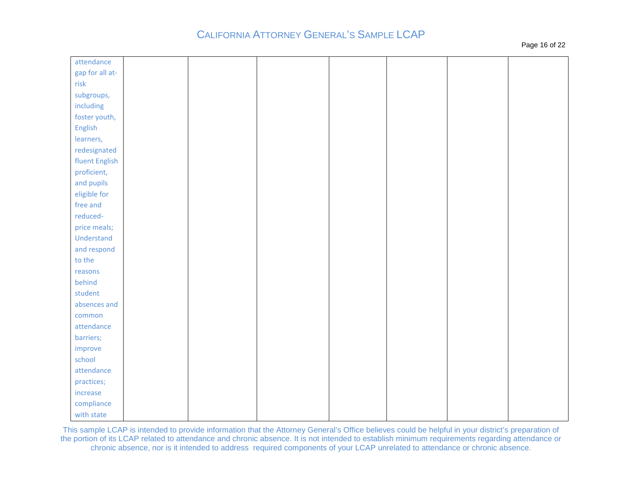| attendance      |  |  |  |
|-----------------|--|--|--|
| gap for all at- |  |  |  |
| risk            |  |  |  |
| subgroups,      |  |  |  |
| including       |  |  |  |
| foster youth,   |  |  |  |
| English         |  |  |  |
| learners,       |  |  |  |
| redesignated    |  |  |  |
| fluent English  |  |  |  |
| proficient,     |  |  |  |
| and pupils      |  |  |  |
| eligible for    |  |  |  |
| free and        |  |  |  |
| reduced-        |  |  |  |
| price meals;    |  |  |  |
| Understand      |  |  |  |
| and respond     |  |  |  |
| to the          |  |  |  |
| reasons         |  |  |  |
| behind          |  |  |  |
| student         |  |  |  |
| absences and    |  |  |  |
| common          |  |  |  |
| attendance      |  |  |  |
| barriers;       |  |  |  |
| improve         |  |  |  |
| school          |  |  |  |
| attendance      |  |  |  |
| practices;      |  |  |  |
| increase        |  |  |  |
| compliance      |  |  |  |
| with state      |  |  |  |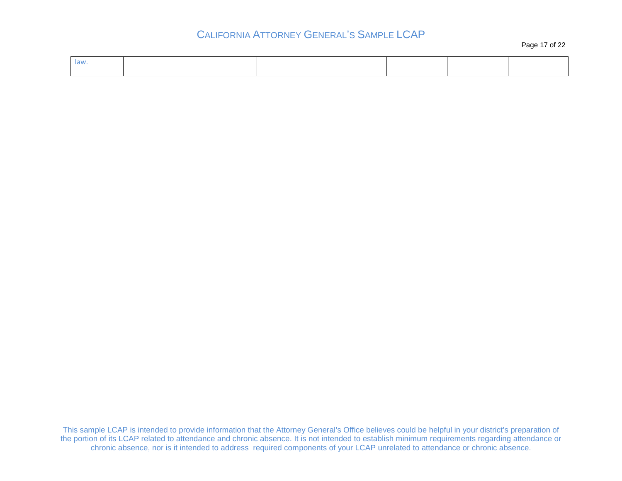Page 17 of 22

| law |  |  |  |  |
|-----|--|--|--|--|
|     |  |  |  |  |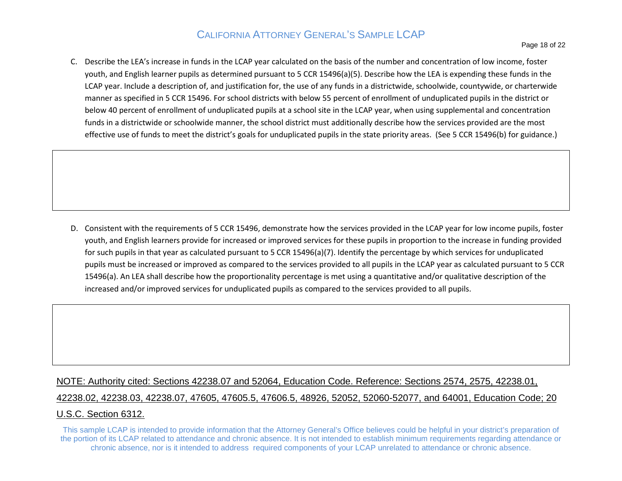C. Describe the LEA's increase in funds in the LCAP year calculated on the basis of the number and concentration of low income, foster youth, and English learner pupils as determined pursuant to 5 CCR 15496(a)(5). Describe how the LEA is expending these funds in the LCAP year. Include a description of, and justification for, the use of any funds in a districtwide, schoolwide, countywide, or charterwide below 40 percent of enrollment of unduplicated pupils at a school site in the LCAP year, when using supplemental and concentration funds in a districtwide or schoolwide manner, the school district must additionally describe how the services provided are the most effective use of funds to meet the district's goals for unduplicated pupils in the state priority areas. (See 5 CCR 15496(b) for guidance.) manner as specified in 5 CCR 15496. For school districts with below 55 percent of enrollment of unduplicated pupils in the district or

D. Consistent with the requirements of 5 CCR 15496, demonstrate how the services provided in the LCAP year for low income pupils, foster youth, and English learners provide for increased or improved services for these pupils in proportion to the increase in funding provided for such pupils in that year as calculated pursuant to 5 CCR 15496(a)(7). Identify the percentage by which services for unduplicated pupils must be increased or improved as compared to the services provided to all pupils in the LCAP year as calculated pursuant to 5 CCR increased and/or improved services for unduplicated pupils as compared to the services provided to all pupils. 15496(a). An LEA shall describe how the proportionality percentage is met using a quantitative and/or qualitative description of the

#### NOTE: Authority cited: Sections 42238.07 and 52064, Education Code. Reference: Sections 2574, 2575, 42238.01,

## 42238.02, 42238.03, 42238.07, 47605, 47605.5, 47606.5, 48926, 52052, 52060-52077, and 64001, Education Code; 20

#### U.S.C. Section 6312.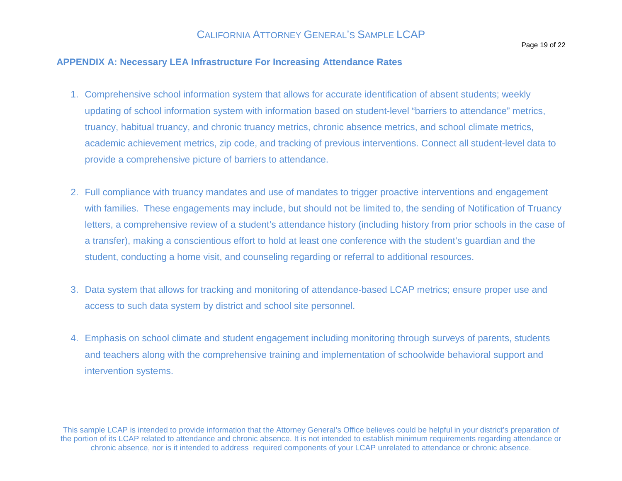#### **APPENDIX A: Necessary LEA Infrastructure For Increasing Attendance Rates**

- 1. Comprehensive school information system that allows for accurate identification of absent students; weekly updating of school information system with information based on student-level "barriers to attendance" metrics, truancy, habitual truancy, and chronic truancy metrics, chronic absence metrics, and school climate metrics, academic achievement metrics, zip code, and tracking of previous interventions. Connect all student-level data to provide a comprehensive picture of barriers to attendance.
- 2. Full compliance with truancy mandates and use of mandates to trigger proactive interventions and engagement with families. These engagements may include, but should not be limited to, the sending of Notification of Truancy letters, a comprehensive review of a student's attendance history (including history from prior schools in the case of a transfer), making a conscientious effort to hold at least one conference with the student's guardian and the student, conducting a home visit, and counseling regarding or referral to additional resources.
- 3. Data system that allows for tracking and monitoring of attendance-based LCAP metrics; ensure proper use and access to such data system by district and school site personnel.
- 4. Emphasis on school climate and student engagement including monitoring through surveys of parents, students and teachers along with the comprehensive training and implementation of schoolwide behavioral support and intervention systems.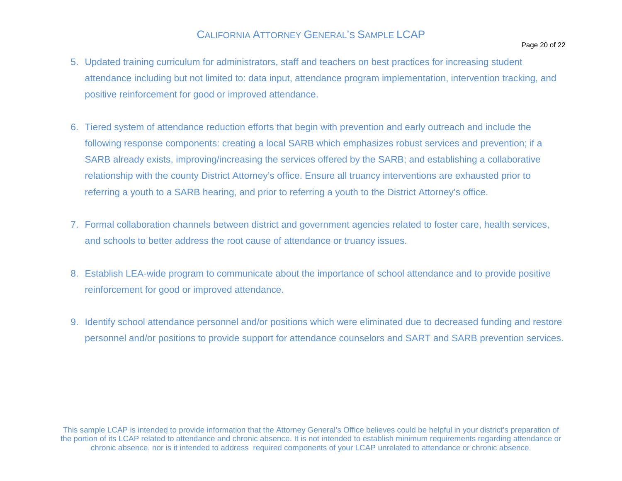- 5. Updated training curriculum for administrators, staff and teachers on best practices for increasing student attendance including but not limited to: data input, attendance program implementation, intervention tracking, and positive reinforcement for good or improved attendance.
- 6. Tiered system of attendance reduction efforts that begin with prevention and early outreach and include the following response components: creating a local SARB which emphasizes robust services and prevention; if a SARB already exists, improving/increasing the services offered by the SARB; and establishing a collaborative relationship with the county District Attorney's office. Ensure all truancy interventions are exhausted prior to referring a youth to a SARB hearing, and prior to referring a youth to the District Attorney's office.
- 7. Formal collaboration channels between district and government agencies related to foster care, health services, and schools to better address the root cause of attendance or truancy issues.
- 8. Establish LEA-wide program to communicate about the importance of school attendance and to provide positive reinforcement for good or improved attendance.
- 9. Identify school attendance personnel and/or positions which were eliminated due to decreased funding and restore personnel and/or positions to provide support for attendance counselors and SART and SARB prevention services.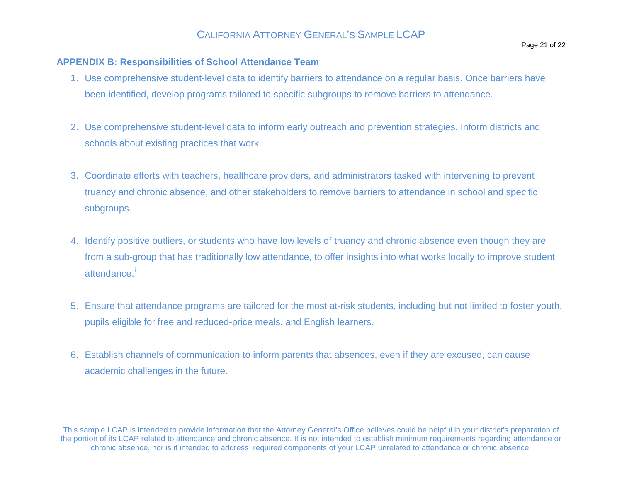#### **APPENDIX B: Responsibilities of School Attendance Team**

- 1. Use comprehensive student-level data to identify barriers to attendance on a regular basis. Once barriers have been identified, develop programs tailored to specific subgroups to remove barriers to attendance.
- 2. Use comprehensive student-level data to inform early outreach and prevention strategies. Inform districts and schools about existing practices that work.
- 3. Coordinate efforts with teachers, healthcare providers, and administrators tasked with intervening to prevent truancy and chronic absence, and other stakeholders to remove barriers to attendance in school and specific subgroups.
- 4. Identify positive outliers, or students who have low levels of truancy and chronic absence even though they are from a sub-group that has traditionally low attendance, to offer insights into what works locally to improve student attendance.<sup>[i](#page-21-0)</sup>
- 5. Ensure that attendance programs are tailored for the most at-risk students, including but not limited to foster youth, pupils eligible for free and reduced-price meals, and English learners.
- 6. Establish channels of communication to inform parents that absences, even if they are excused, can cause academic challenges in the future.